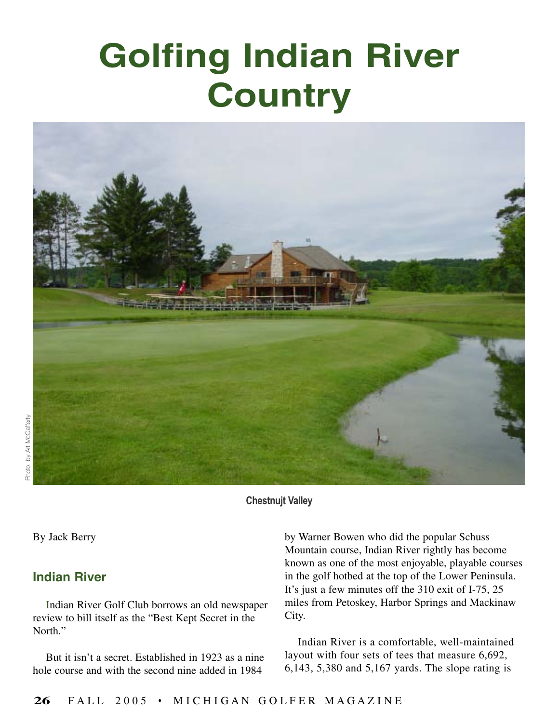## **Golfing Indian River Country**



**Chestnujt Valley**

By Jack Berry

## **Indian River**

Indian River Golf Club borrows an old newspaper review to bill itself as the "Best Kept Secret in the North."

But it isn't a secret. Established in 1923 as a nine hole course and with the second nine added in 1984

by Warner Bowen who did the popular Schuss Mountain course, Indian River rightly has become known as one of the most enjoyable, playable courses in the golf hotbed at the top of the Lower Peninsula. It's just a few minutes off the 310 exit of I-75, 25 miles from Petoskey, Harbor Springs and Mackinaw City.

Indian River is a comfortable, well-maintained layout with four sets of tees that measure 6,692, 6,143, 5,380 and 5,167 yards. The slope rating is